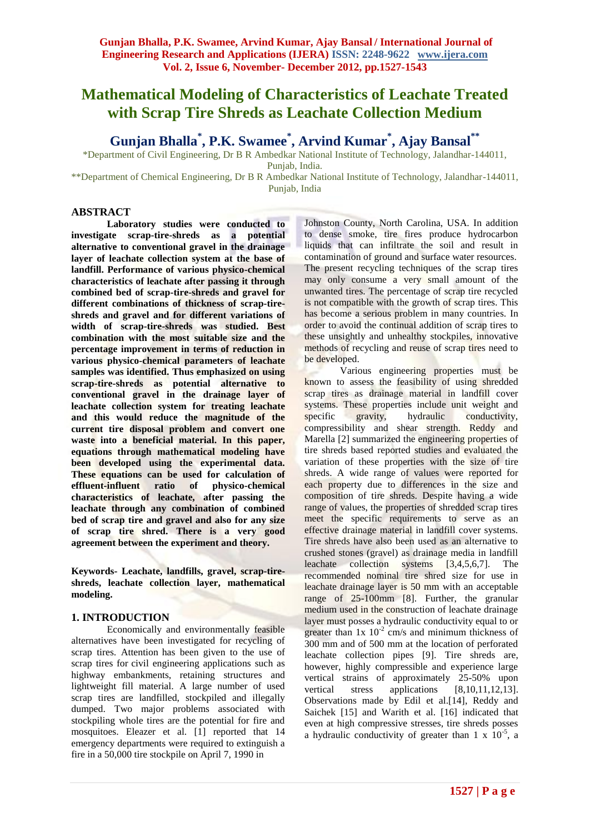# **Mathematical Modeling of Characteristics of Leachate Treated with Scrap Tire Shreds as Leachate Collection Medium**

**Gunjan Bhalla\* , P.K. Swamee\* , Arvind Kumar\* , Ajay Bansal\*\***

\*Department of Civil Engineering, Dr B R Ambedkar National Institute of Technology, Jalandhar-144011,

Punjab, India.

\*\*Department of Chemical Engineering, Dr B R Ambedkar National Institute of Technology, Jalandhar-144011, Punjab, India

## **ABSTRACT**

**Laboratory studies were conducted to investigate scrap-tire-shreds as a potential alternative to conventional gravel in the drainage layer of leachate collection system at the base of landfill. Performance of various physico-chemical characteristics of leachate after passing it through combined bed of scrap-tire-shreds and gravel for different combinations of thickness of scrap-tireshreds and gravel and for different variations of width of scrap-tire-shreds was studied. Best combination with the most suitable size and the percentage improvement in terms of reduction in various physico-chemical parameters of leachate samples was identified. Thus emphasized on using scrap-tire-shreds as potential alternative to conventional gravel in the drainage layer of leachate collection system for treating leachate and this would reduce the magnitude of the current tire disposal problem and convert one waste into a beneficial material. In this paper, equations through mathematical modeling have been developed using the experimental data. These equations can be used for calculation of effluent-influent ratio of physico-chemical characteristics of leachate, after passing the leachate through any combination of combined bed of scrap tire and gravel and also for any size of scrap tire shred. There is a very good agreement between the experiment and theory.**

**Keywords- Leachate, landfills, gravel, scrap-tireshreds, leachate collection layer, mathematical modeling.**

# **1. INTRODUCTION**

Economically and environmentally feasible alternatives have been investigated for recycling of scrap tires. Attention has been given to the use of scrap tires for civil engineering applications such as highway embankments, retaining structures and lightweight fill material. A large number of used scrap tires are landfilled, stockpiled and illegally dumped. Two major problems associated with stockpiling whole tires are the potential for fire and mosquitoes. Eleazer et al. [1] reported that 14 emergency departments were required to extinguish a fire in a 50,000 tire stockpile on April 7, 1990 in

Johnston County, North Carolina, USA. In addition to dense smoke, tire fires produce hydrocarbon liquids that can infiltrate the soil and result in contamination of ground and surface water resources. The present recycling techniques of the scrap tires may only consume a very small amount of the unwanted tires. The percentage of scrap tire recycled is not compatible with the growth of scrap tires. This has become a serious problem in many countries. In order to avoid the continual addition of scrap tires to these unsightly and unhealthy stockpiles, innovative methods of recycling and reuse of scrap tires need to be developed.

Various engineering properties must be known to assess the feasibility of using shredded scrap tires as drainage material in landfill cover systems. These properties include unit weight and specific gravity, hydraulic conductivity, compressibility and shear strength. Reddy and Marella [2] summarized the engineering properties of tire shreds based reported studies and evaluated the variation of these properties with the size of tire shreds. A wide range of values were reported for each property due to differences in the size and composition of tire shreds. Despite having a wide range of values, the properties of shredded scrap tires meet the specific requirements to serve as an effective drainage material in landfill cover systems. Tire shreds have also been used as an alternative to crushed stones (gravel) as drainage media in landfill leachate collection systems [3,4,5,6,7]. The recommended nominal tire shred size for use in leachate drainage layer is 50 mm with an acceptable range of 25-100mm [8]. Further, the granular medium used in the construction of leachate drainage layer must posses a hydraulic conductivity equal to or greater than  $1x 10^{-2}$  cm/s and minimum thickness of 300 mm and of 500 mm at the location of perforated leachate collection pipes [9]. Tire shreds are, however, highly compressible and experience large vertical strains of approximately 25-50% upon vertical stress applications [8,10,11,12,13]. Observations made by Edil et al.[14], Reddy and Saichek [15] and Warith et al. [16] indicated that even at high compressive stresses, tire shreds posses a hydraulic conductivity of greater than  $1 \times 10^{-5}$ , a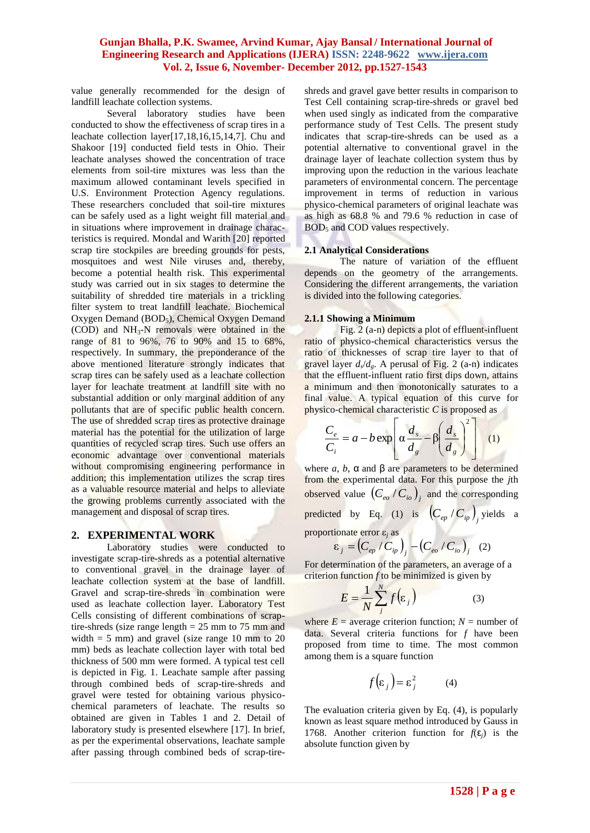value generally recommended for the design of landfill leachate collection systems.

Several laboratory studies have been conducted to show the effectiveness of scrap tires in a leachate collection layer[17,18,16,15,14,7]. Chu and Shakoor [19] conducted field tests in Ohio. Their leachate analyses showed the concentration of trace elements from soil-tire mixtures was less than the maximum allowed contaminant levels specified in U.S. Environment Protection Agency regulations. These researchers concluded that soil-tire mixtures can be safely used as a light weight fill material and in situations where improvement in drainage characteristics is required. Mondal and Warith [20] reported scrap tire stockpiles are breeding grounds for pests, mosquitoes and west Nile viruses and, thereby, become a potential health risk. This experimental study was carried out in six stages to determine the suitability of shredded tire materials in a trickling filter system to treat landfill leachate. Biochemical Oxygen Demand (BOD<sub>5</sub>), Chemical Oxygen Demand (COD) and  $NH<sub>3</sub>-N$  removals were obtained in the range of 81 to 96%, 76 to 90% and 15 to 68%, respectively. In summary, the preponderance of the above mentioned literature strongly indicates that scrap tires can be safely used as a leachate collection layer for leachate treatment at landfill site with no substantial addition or only marginal addition of any pollutants that are of specific public health concern. The use of shredded scrap tires as protective drainage material has the potential for the utilization of large quantities of recycled scrap tires. Such use offers an economic advantage over conventional materials without compromising engineering performance in addition; this implementation utilizes the scrap tires as a valuable resource material and helps to alleviate the growing problems currently associated with the management and disposal of scrap tires.

#### **2. EXPERIMENTAL WORK**

Laboratory studies were conducted to investigate scrap-tire-shreds as a potential alternative to conventional gravel in the drainage layer of leachate collection system at the base of landfill. Gravel and scrap-tire-shreds in combination were used as leachate collection layer. Laboratory Test Cells consisting of different combinations of scraptire-shreds (size range length  $= 25$  mm to 75 mm and width  $= 5$  mm) and gravel (size range 10 mm to 20 mm) beds as leachate collection layer with total bed thickness of 500 mm were formed. A typical test cell is depicted in Fig. 1. Leachate sample after passing through combined beds of scrap-tire-shreds and gravel were tested for obtaining various physicochemical parameters of leachate. The results so obtained are given in Tables 1 and 2. Detail of laboratory study is presented elsewhere [17]. In brief, as per the experimental observations, leachate sample after passing through combined beds of scrap-tireshreds and gravel gave better results in comparison to Test Cell containing scrap-tire-shreds or gravel bed when used singly as indicated from the comparative performance study of Test Cells. The present study indicates that scrap-tire-shreds can be used as a potential alternative to conventional gravel in the drainage layer of leachate collection system thus by improving upon the reduction in the various leachate parameters of environmental concern. The percentage improvement in terms of reduction in various physico-chemical parameters of original leachate was as high as 68.8 % and 79.6 % reduction in case of  $BOD<sub>5</sub>$  and COD values respectively.

#### **2.1 Analytical Considerations**

The nature of variation of the effluent depends on the geometry of the arrangements. Considering the different arrangements, the variation is divided into the following categories.

#### **2.1.1 Showing a Minimum**

Fig. 2 (a-n) depicts a plot of effluent-influent ratio of physico-chemical characteristics versus the ratio of thicknesses of scrap tire layer to that of gravel layer  $d_s/d_g$ . A perusal of Fig. 2 (a-n) indicates that the effluent-influent ratio first dips down, attains a minimum and then monotonically saturates to a final value. A typical equation of this curve for physico-chemical characteristic *C* is proposed as

$$
\frac{C_e}{C_i} = a - b \exp\left[\alpha \frac{d_s}{d_g} - \beta \left(\frac{d_s}{d_g}\right)^2\right] \quad (1)
$$

where  $a, b, \alpha$  and  $\beta$  are parameters to be determined from the experimental data. For this purpose the *j*th observed value  $\left(C_{\text{eo}}/C_{\text{io}}\right)_{j}$  and the corresponding predicted by Eq. (1) is  $\left(C_{ep} / C_{ip}\right)$  yields a

proportionate error  $\varepsilon$ <sub>*i*</sub> as

$$
\varepsilon_j = \left(C_{ep} / C_{ip}\right)_j - \left(C_{eo} / C_{io}\right)_j \quad (2)
$$

For determination of the parameters, an average of a criterion function  $f$  to be minimized is given by

$$
E = \frac{1}{N} \sum_{j}^{N} f(\varepsilon_{j})
$$
 (3)

where  $E =$  average criterion function;  $N =$  number of data. Several criteria functions for *f* have been proposed from time to time. The most common among them is a square function

$$
f(\varepsilon_j) = \varepsilon_j^2 \tag{4}
$$

The evaluation criteria given by Eq. (4), is popularly known as least square method introduced by Gauss in 1768. Another criterion function for *f*(ε*j*) is the absolute function given by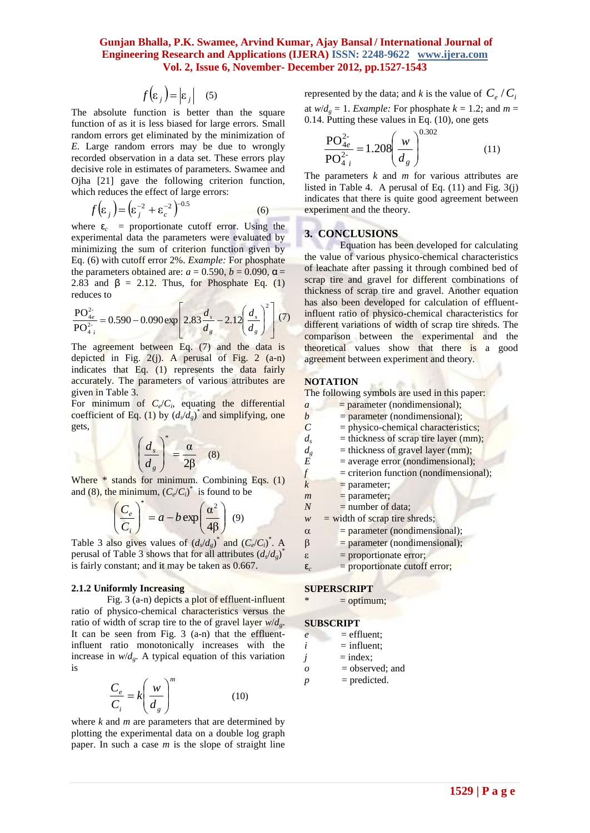$$
f(\varepsilon_j) = |\varepsilon_j| \quad (5)
$$

The absolute function is better than the square function of as it is less biased for large errors. Small random errors get eliminated by the minimization of *E.* Large random errors may be due to wrongly recorded observation in a data set. These errors play decisive role in estimates of parameters. Swamee and Ojha [21] gave the following criterion function, which reduces the effect of large errors:

$$
f(\varepsilon_j) = \left(\varepsilon_j^{-2} + \varepsilon_c^{-2}\right)^{-0.5}
$$
 (6)

where  $\epsilon_c$  = proportionate cutoff error. Using the experimental data the parameters were evaluated by minimizing the sum of criterion function given by Eq. (6) with cutoff error 2%. *Example:* For phosphate the parameters obtained are:  $a = 0.590$ ,  $b = 0.090$ ,  $\alpha =$ 2.83 and  $\beta$  = 2.12. Thus, for Phosphate Eq. (1) reduces to

$$
\frac{\text{PO}_{4e}^{2}}{\text{PO}_{4i}^{2*}} = 0.590 - 0.090 \exp\left[2.83 \frac{d_s}{d_s} - 2.12 \left(\frac{d_s}{d_s}\right)^2\right] (7)
$$

The agreement between Eq. (7) and the data is depicted in Fig.  $2(i)$ . A perusal of Fig. 2 (a-n) indicates that Eq. (1) represents the data fairly accurately. The parameters of various attributes are given in Table 3.

For minimum of  $C_e/C_i$ , equating the differential coefficient of Eq. (1) by  $(d_s/d_g)^*$  and simplifying, one gets,

$$
\left(\frac{d_s}{d_g}\right)^* = \frac{\alpha}{2\beta} \quad (8)
$$

Where \* stands for minimum. Combining Eqs. (1) and (8), the minimum,  $(C_e/C_i)^*$  is found to be

$$
\left(\frac{C_e}{C_i}\right)^* = a - b \exp\left(\frac{\alpha^2}{4\beta}\right) \tag{9}
$$

Table 3 also gives values of  $(d_s/d_g)^*$  and  $(C_e/C_i)^*$ . A perusal of Table 3 shows that for all attributes  $(d_s/d_g)^*$ is fairly constant; and it may be taken as 0.667.

#### **2.1.2 Uniformly Increasing**

Fig. 3 (a-n) depicts a plot of effluent-influent ratio of physico-chemical characteristics versus the ratio of width of scrap tire to the of gravel layer *w*/*dg*. It can be seen from Fig. 3 (a-n) that the effluentinfluent ratio monotonically increases with the increase in  $w/d_g$ . A typical equation of this variation is

$$
\frac{C_e}{C_i} = k \left(\frac{w}{d_g}\right)^m \tag{10}
$$

where *k* and *m* are parameters that are determined by plotting the experimental data on a double log graph paper. In such a case *m* is the slope of straight line

represented by the data; and *k* is the value of  $C_e / C_i$ at  $w/d_e = 1$ . *Example:* For phosphate  $k = 1.2$ ; and  $m =$ 0.14. Putting these values in Eq. (10), one gets

$$
\frac{\text{PO}_{4e}^{2-}}{\text{PO}_{4i}^{2-}} = 1.208 \left(\frac{w}{d_g}\right)^{0.302} \tag{11}
$$

## **3. CONCLUSIONS**

#### **NOTATION**

| $(\varepsilon_i) =  \varepsilon_i $ (5)<br>tion is better than the square<br>less biased for large errors. Small<br>eliminated by the minimization of<br>errors may be due to wrongly<br>on in a data set. These errors play<br>mates of parameters. Swamee and<br>he following criterion function,<br>ffect of large errors:<br>$+\epsilon_c^{-2}$ ) <sup>-0.5</sup><br>(6)<br>prtionate cutoff error. Using the                                                                                                                                                                                                                                                                                                                                                                                                                                               | represented by the data; and k is the value of $C_e/C$<br>at $w/d_g = 1$ . <i>Example:</i> For phosphate $k = 1.2$ ; and m =<br>$0.14$ . Putting these values in Eq. $(10)$ , one gets<br>$\frac{P O_{4e}^{2}}{P O_{4i}^{2}} = 1.208 \left(\frac{w}{d_a}\right)^{0.5}$<br>(11)<br>The parameters $k$ and $m$ for various attributes are<br>listed in Table 4. A perusal of Eq. $(11)$ and Fig. 3 $(j)$<br>indicates that there is quite good agreement between<br>experiment and the theory.                                                                                                                                                                                                                                                                                                                                                                                                                                                                                                                                                                                                                                                                                                                                                                                                                                                                                                                                                 |
|-----------------------------------------------------------------------------------------------------------------------------------------------------------------------------------------------------------------------------------------------------------------------------------------------------------------------------------------------------------------------------------------------------------------------------------------------------------------------------------------------------------------------------------------------------------------------------------------------------------------------------------------------------------------------------------------------------------------------------------------------------------------------------------------------------------------------------------------------------------------|----------------------------------------------------------------------------------------------------------------------------------------------------------------------------------------------------------------------------------------------------------------------------------------------------------------------------------------------------------------------------------------------------------------------------------------------------------------------------------------------------------------------------------------------------------------------------------------------------------------------------------------------------------------------------------------------------------------------------------------------------------------------------------------------------------------------------------------------------------------------------------------------------------------------------------------------------------------------------------------------------------------------------------------------------------------------------------------------------------------------------------------------------------------------------------------------------------------------------------------------------------------------------------------------------------------------------------------------------------------------------------------------------------------------------------------------|
| he parameters were evaluated by<br>m of criterion function given by<br>error 2%. Example: For phosphate<br>ined are: $a = 0.590$ , $b = 0.090$ , $\alpha =$<br>2. Thus, for Phosphate Eq. (1)<br>090 exp $\left  2.83 \frac{d_s}{d_g} - 2.12 \left( \frac{d_s}{d_g} \right)^2 \right $ (7)<br>tween Eq. (7) and the data is<br>$2(j)$ . A perusal of Fig. 2 $(a-n)$<br>(1) represents the data fairly<br>cameters of various attributes are<br>$C_e/C_i$ , equating the differential<br>1) by $(d_s/d_g)^*$ and simplifying, one<br>$\left(\frac{l_s}{l_a}\right)^{*} = \frac{\alpha}{2\beta}$ (8)<br>r minimum. Combining Eqs. (1)<br>m, $(C_e/C_i)^*$ is found to be<br>$= a - b \exp\left(\frac{\alpha^2}{4\beta}\right)$ (9)<br>values of $(d_s/d_g)^*$ and $(C_e/C_i)^*$ . A<br>hows that for all attributes $(d_s/d_g)^*$<br>nd it may be taken as 0.667. | <b>3. CONCLUSIONS</b><br>Equation has been developed for calculating<br>the value of various physico-chemical characteristic<br>of leachate after passing it through combined bed o<br>scrap tire and gravel for different combinations o<br>thickness of scrap tire and gravel. Another equation<br>has also been developed for calculation of effluent<br>influent ratio of physico-chemical characteristics fo<br>different variations of width of scrap tire shreds. The<br>comparison between the experimental and the<br>theoretical values show that there is<br>a good<br>agreement between experiment and theory.<br><b>NOTATION</b><br>The following symbols are used in this paper:<br>= parameter (nondimensional);<br>$\boldsymbol{a}$<br>$\boldsymbol{b}$<br>= parameter (nondimensional);<br>$\overline{C}$<br>= physico-chemical characteristics;<br>$=$ thickness of scrap tire layer (mm);<br>$d_{s}$<br>$=$ thickness of gravel layer (mm);<br>$d_{g}$<br>E<br>= average error (nondimensional);<br>$\boldsymbol{f}$<br>= criterion function (nondimensional);<br>$\boldsymbol{k}$<br>$=$ parameter;<br>$=$ parameter;<br>$\mathfrak{m}$<br>$=$ number of data;<br>$\boldsymbol{N}$<br>$=$ width of scrap tire shreds;<br>$\boldsymbol{\mathcal{W}}$<br>= parameter (nondimensional);<br>$\alpha$<br>= parameter (nondimensional);<br>β<br>$=$ proportionate error;<br>S<br>= proportionate cutoff error;<br>$\epsilon_c$ |
|                                                                                                                                                                                                                                                                                                                                                                                                                                                                                                                                                                                                                                                                                                                                                                                                                                                                 |                                                                                                                                                                                                                                                                                                                                                                                                                                                                                                                                                                                                                                                                                                                                                                                                                                                                                                                                                                                                                                                                                                                                                                                                                                                                                                                                                                                                                                              |
| <b>creasing</b><br>) depicts a plot of effluent-influent<br>emical characteristics versus the<br>rap tire to the of gravel layer $w/d_g$ .                                                                                                                                                                                                                                                                                                                                                                                                                                                                                                                                                                                                                                                                                                                      | <b>SUPERSCRIPT</b><br>∗<br>$=$ optimum;<br><b>SUBSCRIPT</b>                                                                                                                                                                                                                                                                                                                                                                                                                                                                                                                                                                                                                                                                                                                                                                                                                                                                                                                                                                                                                                                                                                                                                                                                                                                                                                                                                                                  |
| m Fig. 3 (a-n) that the effluent-<br>notonically increases with the<br>typical equation of this variation<br>$\left(\frac{w}{d_g}\right)^{n}$<br>(10)<br>parameters that are determined by<br>nental data on a double log graph<br>use $m$ is the slope of straight line                                                                                                                                                                                                                                                                                                                                                                                                                                                                                                                                                                                        | $=$ effluent;<br>$\ell$<br>$=$ influent;<br>i<br>$=$ index;<br>j<br>= observed; and<br>$\cal O$<br>$=$ predicted.<br>$\boldsymbol{p}$                                                                                                                                                                                                                                                                                                                                                                                                                                                                                                                                                                                                                                                                                                                                                                                                                                                                                                                                                                                                                                                                                                                                                                                                                                                                                                        |
|                                                                                                                                                                                                                                                                                                                                                                                                                                                                                                                                                                                                                                                                                                                                                                                                                                                                 | $1529$   P a g e                                                                                                                                                                                                                                                                                                                                                                                                                                                                                                                                                                                                                                                                                                                                                                                                                                                                                                                                                                                                                                                                                                                                                                                                                                                                                                                                                                                                                             |

#### **SUPERSCRIPT**

#### **SUBSCRIPT**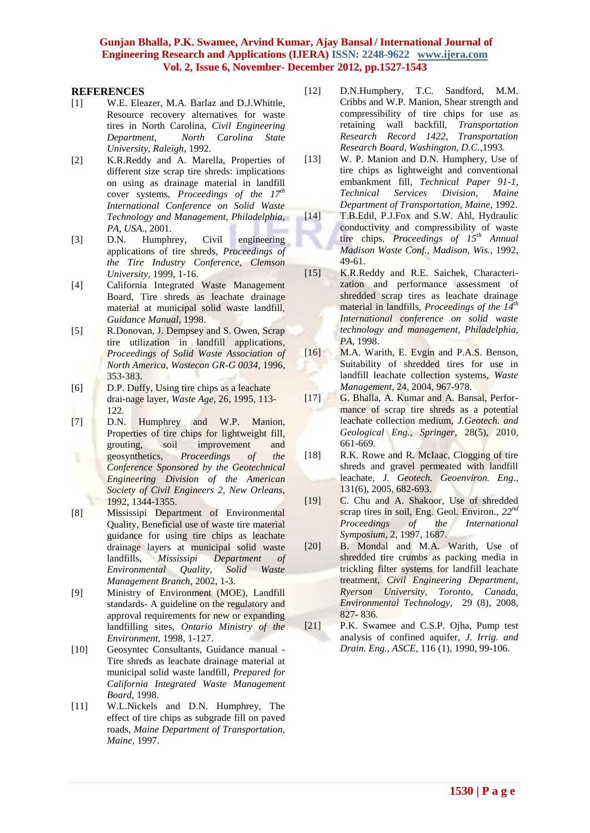#### **REFERENCES**

- [1] W.E. Eleazer, M.A. Barlaz and D.J.Whittle, Resource recovery alternatives for waste tires in North Carolina, *Civil Engineering Department, North Carolina State University, Raleigh*, 1992.
- [2] K.R.Reddy and A. Marella, Properties of different size scrap tire shreds: implications on using as drainage material in landfill cover systems, *Proceedings of the 17th International Conference on Solid Waste Technology and Management, Philadelphia, PA, USA*., 2001.
- [3] D.N. Humphrey, Civil engineering applications of tire shreds, *Proceedings of the Tire Industry Conference, Clemson University*, 1999, 1-16.
- [4] California Integrated Waste Management Board, Tire shreds as leachate drainage material at municipal solid waste landfill, *Guidance Manual*, 1998.
- [5] R.Donovan, J. Dempsey and S. Owen, Scrap tire utilization in landfill applications, *Proceedings of Solid Waste Association of North America, Wastecon GR-G 0034*, 1996, 353-383.
- [6] D.P. Duffy, Using tire chips as a leachate drai-nage layer, *Waste Age*, 26, 1995, 113- 122.
- [7] D.N. Humphrey and W.P. Manion, Properties of tire chips for lightweight fill, grouting, soil improvement and geosynthetics, *Proceedings of the Conference Sponsored by the Geotechnical Engineering Division of the American Society of Civil Engineers 2, New Orleans*, 1992, 1344-1355.
- [8] Mississipi Department of Environmental Quality, Beneficial use of waste tire material guidance for using tire chips as leachate drainage layers at municipal solid waste landfills, *Mississipi Department of Environmental Quality, Solid Waste Management Branch*, 2002, 1-3.
- [9] Ministry of Environment (MOE), Landfill standards- A guideline on the regulatory and approval requirements for new or expanding landfilling sites, *Ontario Ministry of the Environment*, 1998, 1-127.
- [10] Geosyntec Consultants, Guidance manual Tire shreds as leachate drainage material at municipal solid waste landfill, *Prepared for California Integrated Waste Management Board*, 1998.
- [11] W.L.Nickels and D.N. Humphrey, The effect of tire chips as subgrade fill on paved roads, *Maine Department of Transportation, Maine*, 1997.
- [12] D.N.Humphery, T.C. Sandford, M.M. Cribbs and W.P. Manion, Shear strength and compressibility of tire chips for use as retaining wall backfill, *Transportation Research Record 1422, Transportation Research Board, Washington, D.C.*,1993.
- [13] W. P. Manion and D.N. Humphery, Use of tire chips as lightweight and conventional embankment fill, *Technical Paper 91-1, Technical Services Division, Maine Department of Transportation, Maine*, 1992.
- [14] T.B.Edil, P.J.Fox and S.W. Ahl, Hydraulic conductivity and compressibility of waste tire chips, *Proceedings of 15th Annual Madison Waste Conf., Madison, Wis.*, 1992, 49-61.
- [15] K.R.Reddy and R.E. Saichek, Characterization and performance assessment of shredded scrap tires as leachate drainage material in landfills, *Proceedings of the 14th International conference on solid waste technology and management, Philadelphia, PA,* 1998.
- [16] M.A. Warith, E. Evgin and P.A.S. Benson, Suitability of shredded tires for use in landfill leachate collection systems, *Waste Management*, 24, 2004, 967-978.
- [17] G. Bhalla, A. Kumar and A. Bansal, Performance of scrap tire shreds as a potential leachate collection medium, *J.Geotech. and Geological Eng., Springer*, 28(5), 2010, 661-669.
- [18] R.K. Rowe and R. McIaac, Clogging of tire shreds and gravel permeated with landfill leachate, *J. Geotech. Geoenviron. Eng*., 131(6), 2005, 682-693.
- [19] C. Chu and A. Shakoor, Use of shredded scrap tires in soil, Eng. Geol. Environ., *22nd Proceedings of the International Symposium*, 2, 1997, 1687.
- [20] B. Mondal and M.A. Warith, Use of shredded tire crumbs as packing media in trickling filter systems for landfill leachate treatment, *Civil Engineering Department, Ryerson University, Toronto, Canada, [Environmental Technology](../My%20Documents/title~db=all~content=t791546829)*, 29 (8), 2008, 827- 836.
- [21] P.K. Swamee and C.S.P. Ojha, Pump test analysis of confined aquifer, *J. Irrig. and Drain. Eng., ASCE*, 116 (1), 1990, 99-106.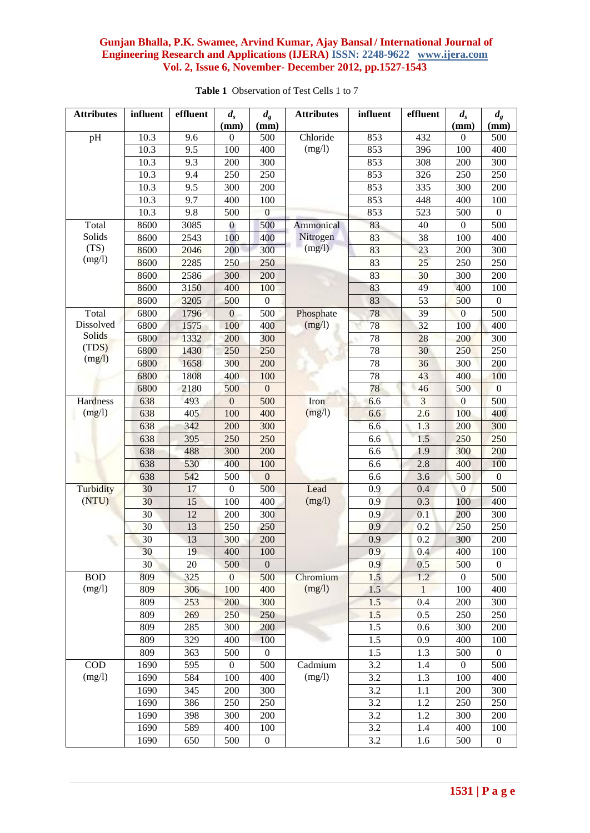| <b>Attributes</b> | influent | effluent | $d_{s}$                  | $d_g$            | <b>Attributes</b> | influent         | effluent        | $d_{s}$                | $d_g$<br>(mm)    |
|-------------------|----------|----------|--------------------------|------------------|-------------------|------------------|-----------------|------------------------|------------------|
| pH                | 10.3     | 9.6      | (mm)<br>$\boldsymbol{0}$ | (mm)<br>500      | Chloride          | 853              | 432             | (mm)<br>$\overline{0}$ | 500              |
|                   | 10.3     | 9.5      | 100                      | 400              | (mg/l)            | 853              | 396             | 100                    | 400              |
|                   | 10.3     | 9.3      | 200                      | 300              |                   | 853              | 308             | 200                    | 300              |
|                   | 10.3     | 9.4      | 250                      | 250              |                   | 853              | 326             | 250                    | 250              |
|                   | 10.3     | 9.5      | 300                      | 200              |                   | 853              | 335             | 300                    | 200              |
|                   | 10.3     | 9.7      | 400                      | 100              |                   | 853              | 448             | 400                    | 100              |
|                   | 10.3     | 9.8      | 500                      | $\boldsymbol{0}$ |                   | 853              | 523             | 500                    | $\theta$         |
| Total             | 8600     | 3085     | $\bf{0}$                 | 500              | Ammonical         | 83               | 40              | $\boldsymbol{0}$       | 500              |
| Solids            | 8600     | 2543     | 100                      | 400              | Nitrogen          | 83               | 38              | 100                    | 400              |
| (TS)              | 8600     | 2046     | 200                      | 300              | (mg/l)            | 83               | 23              | 200                    | 300              |
| (mg/l)            | 8600     | 2285     | 250                      | 250              |                   | 83               | $\overline{25}$ | 250                    | 250              |
|                   | 8600     | 2586     | 300                      | 200              |                   | 83               | 30              | 300                    | 200              |
|                   | 8600     | 3150     | 400                      | 100              |                   | 83               | 49              | 400                    | 100              |
|                   | 8600     | 3205     | 500                      | $\boldsymbol{0}$ |                   | 83               | 53              | 500                    | $\boldsymbol{0}$ |
| Total             | 6800     | 1796     | $\boldsymbol{0}$         | 500              | Phosphate         | 78               | 39              | $\theta$               | 500              |
| Dissolved         | 6800     | 1575     | 100                      | 400              | (mg/l)            | 78               | 32              | 100                    | 400              |
| Solids            | 6800     | 1332     | 200                      | 300              |                   | 78               | 28              | 200                    | 300              |
| (TDS)             | 6800     | 1430     | 250                      | 250              |                   | 78               | 30              | 250                    | 250              |
| (mg/l)            | 6800     | 1658     | 300                      | 200              |                   | 78               | 36              | 300                    | 200              |
|                   | 6800     | 1808     | 400                      | 100              |                   | 78               | 43              | 400                    | 100              |
|                   | 6800     | 2180     | 500                      | $\boldsymbol{0}$ |                   | 78               | 46              | 500                    | $\mathbf{0}$     |
| Hardness          | 638      | 493      | $\boldsymbol{0}$         | 500              | Iron              | 6.6              | $\overline{3}$  | $\mathbf{0}$           | 500              |
| (mg/l)            | 638      | 405      | 100                      | 400              | (mg/l)            | 6.6              | 2.6             | 100                    | 400              |
|                   | 638      | 342      | 200                      | 300              |                   | 6.6              | 1.3             | 200                    | 300              |
|                   | 638      | 395      | 250                      | 250              |                   | 6.6              | 1.5             | 250                    | 250              |
|                   | 638      | 488      | 300                      | 200              |                   | 6.6              | 1.9             | 300                    | 200              |
|                   | 638      | 530      | 400                      | 100              |                   | 6.6              | 2.8             | 400                    | 100              |
|                   | 638      | 542      | 500                      | $\mathbf{0}$     |                   | 6.6              | 3.6             | 500                    | $\mathbf{0}$     |
| Turbidity         | 30       | 17       | $\theta$                 | 500              | Lead              | 0.9              | 0.4             | $\overline{0}$         | 500              |
| (NTU)             | 30       | 15       | 100                      | 400              | (mg/l)            | 0.9              | 0.3             | 100                    | 400              |
|                   | 30       | 12       | 200                      | 300              |                   | 0.9              | 0.1             | 200                    | 300              |
|                   | 30       | 13       | 250                      | 250              |                   | 0.9              | 0.2             | 250                    | 250              |
|                   | 30       | 13       | 300                      | 200              |                   | 0.9              | 0.2             | 300                    | 200              |
|                   | 30       | 19       | 400                      | 100              |                   | 0.9              | 0.4             | 400                    | 100              |
|                   | 30       | 20       | 500                      | $\mathbf{0}$     |                   | 0.9              | 0.5             | 500                    | $\overline{0}$   |
| <b>BOD</b>        | 809      | 325      | $\overline{0}$           | 500              | Chromium          | 1.5              | 1.2             | $\boldsymbol{0}$       | 500              |
| (mg/l)            | 809      | 306      | 100                      | 400              | (mg/l)            | 1.5              | $\mathbf{1}$    | 100                    | 400              |
|                   | 809      | 253      | 200                      | 300              |                   | 1.5              | 0.4             | 200                    | 300              |
|                   | 809      | 269      | 250                      | 250              |                   | 1.5              | 0.5             | 250                    | 250              |
|                   | 809      | 285      | 300                      | 200              |                   | $1.5$            | 0.6             | 300                    | 200              |
|                   | 809      | 329      | 400                      | 100              |                   | 1.5              | 0.9             | 400                    | 100              |
|                   | 809      | 363      | 500                      | $\boldsymbol{0}$ |                   | 1.5              | 1.3             | 500                    | $\boldsymbol{0}$ |
| $\rm COD$         | 1690     | 595      | $\boldsymbol{0}$         | 500              | Cadmium           | 3.2              | 1.4             | $\boldsymbol{0}$       | 500              |
| (mg/l)            | 1690     | 584      | 100                      | 400              | (mg/l)            | 3.2              | 1.3             | 100                    | 400              |
|                   | 1690     | 345      | 200                      | 300              |                   | $\overline{3.2}$ | 1.1             | 200                    | 300              |
|                   | 1690     | 386      | 250                      | 250              |                   | 3.2              | 1.2             | 250                    | 250              |
|                   | 1690     | 398      | 300                      | 200              |                   | 3.2              | 1.2             | 300                    | 200              |
|                   | 1690     | 589      | 400                      | 100              |                   | 3.2              | 1.4             | 400                    | 100              |
|                   | 1690     | 650      | 500                      | $\boldsymbol{0}$ |                   | 3.2              | 1.6             | 500                    | $\boldsymbol{0}$ |

**Table 1** Observation of Test Cells 1 to 7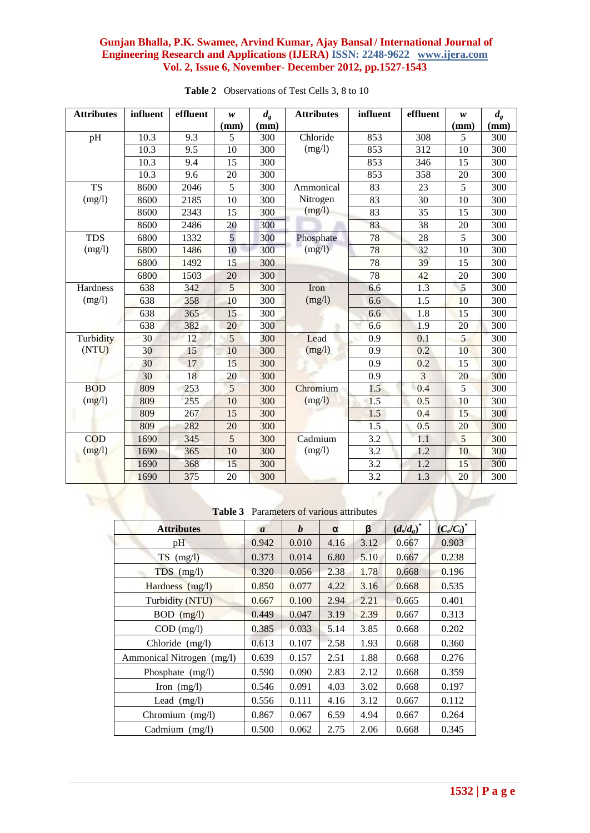| <b>Attributes</b> | influent | effluent         | w              | $d_{g}$ | <b>Attributes</b> | influent<br>effluent |                 | w    | $d_{g}$          |
|-------------------|----------|------------------|----------------|---------|-------------------|----------------------|-----------------|------|------------------|
|                   |          |                  | (mm)           | (mm)    |                   |                      |                 | (mm) | (mm)             |
| pH                | 10.3     | 9.3              | 5              | 300     | Chloride          | 853                  | 308             | 5    | 300              |
|                   | 10.3     | 9.5              | 10             | 300     | (mg/l)            | 853                  | 312             | 10   | 300              |
|                   | 10.3     | 9.4              | 15             | 300     |                   | 853                  | 346             | 15   | 300              |
|                   | 10.3     | 9.6              | 20             | 300     |                   | 853                  | 358             | 20   | $\overline{300}$ |
| <b>TS</b>         | 8600     | 2046             | 5              | 300     | Ammonical         | 83                   | 23              | 5    | 300              |
| (mg/l)            | 8600     | 2185             | 10             | 300     | Nitrogen          | 83                   | 30              | 10   | 300              |
|                   | 8600     | 2343             | 15             | 300     | (mg/l)            | 83                   | 35              | 15   | 300              |
|                   | 8600     | 2486             | 20             | 300     |                   | 83                   | 38              | 20   | 300              |
| <b>TDS</b>        | 6800     | 1332             | 5              | 300     | Phosphate         | 78                   | 28              | 5    | 300              |
| (mg/l)            | 6800     | 1486             | 10             | 300     | (mg/l)            | 78                   | $\overline{32}$ | 10   | $\overline{300}$ |
|                   | 6800     | 1492             | 15             | 300     |                   | 78                   | 39              | 15   | 300              |
|                   | 6800     | 1503             | 20             | 300     |                   | 78                   | 42              | 20   | 300              |
| Hardness          | 638      | $\overline{3}42$ | 5              | 300     | Iron              | 6.6                  | 1.3             | 5    | 300              |
| (mg/l)            | 638      | 358              | 10             | 300     | (mg/l)            | 6.6                  | 1.5             | 10   | 300              |
|                   | 638      | 365              | 15             | 300     |                   | 6.6                  | 1.8             | 15   | 300              |
|                   | 638      | 382              | 20             | 300     |                   | 6.6                  | 1.9             | 20   | 300              |
| Turbidity         | 30       | 12               | 5              | 300     | Lead              | 0.9                  | 0.1             | 5    | 300              |
| (NTU)             | 30       | 15               | 10             | 300     | (mg/l)            | 0.9                  | 0.2             | 10   | 300              |
|                   | 30       | 17               | 15             | 300     |                   | 0.9                  | 0.2             | 15   | 300              |
|                   | 30       | 18               | 20             | 300     |                   | 0.9                  | 3               | 20   | 300              |
| <b>BOD</b>        | 809      | 253              | 5              | 300     | Chromium          | 1.5                  | 0.4             | 5    | 300              |
| (mg/l)            | 809      | 255              | 10             | 300     | (mg/l)            | 1.5                  | 0.5             | 10   | 300              |
|                   | 809      | 267              | 15             | 300     |                   | 1.5                  | 0.4             | 15   | 300              |
|                   | 809      | 282              | 20             | 300     |                   | 1.5                  | 0.5             | 20   | 300              |
| COD               | 1690     | 345              | $\overline{5}$ | 300     | Cadmium           | 3.2                  | 1.1             | 5    | 300              |
| (mg/l)            | 1690     | 365              | 10             | 300     | (mg/l)            | 3.2                  | 1.2             | 10   | 300              |
|                   | 1690     | 368              | 15             | 300     |                   | 3.2                  | 1.2             | 15   | 300              |
|                   | 1690     | 375              | 20             | 300     |                   | 3.2                  | 1.3             | 20   | 300              |
|                   |          |                  |                |         |                   |                      |                 |      |                  |

**Table 2** Observations of Test Cells 3, 8 to 10

**Table 3** Parameters of various attributes

| <b>Attributes</b>         | $\mathfrak{a}$ | $\bm{b}$ | α    | β    | $(d_s/d_g)^*$ | $(C_e/C_i)^*$ |
|---------------------------|----------------|----------|------|------|---------------|---------------|
| pH                        | 0.942          | 0.010    | 4.16 | 3.12 | 0.667         | 0.903         |
| $TS$ (mg/l)               | 0.373          | 0.014    | 6.80 | 5.10 | 0.667         | 0.238         |
| $TDS$ (mg/l)              | 0.320          | 0.056    | 2.38 | 1.78 | 0.668         | 0.196         |
| Hardness (mg/l)           | 0.850          | 0.077    | 4.22 | 3.16 | 0.668         | 0.535         |
| Turbidity (NTU)           | 0.667          | 0.100    | 2.94 | 2.21 | 0.665         | 0.401         |
| <b>BOD</b><br>(mg/l)      | 0.449          | 0.047    | 3.19 | 2.39 | 0.667         | 0.313         |
| $COD$ (mg/l)              | 0.385          | 0.033    | 5.14 | 3.85 | 0.668         | 0.202         |
| Chloride (mg/l)           | 0.613          | 0.107    | 2.58 | 1.93 | 0.668         | 0.360         |
| Ammonical Nitrogen (mg/l) | 0.639          | 0.157    | 2.51 | 1.88 | 0.668         | 0.276         |
| Phosphate (mg/l)          | 0.590          | 0.090    | 2.83 | 2.12 | 0.668         | 0.359         |
| Iron $(mg/l)$             | 0.546          | 0.091    | 4.03 | 3.02 | 0.668         | 0.197         |
| Lead $(mg/l)$             | 0.556          | 0.111    | 4.16 | 3.12 | 0.667         | 0.112         |
| Chromium (mg/l)           | 0.867          | 0.067    | 6.59 | 4.94 | 0.667         | 0.264         |
| Cadmium (mg/l)            | 0.500          | 0.062    | 2.75 | 2.06 | 0.668         | 0.345         |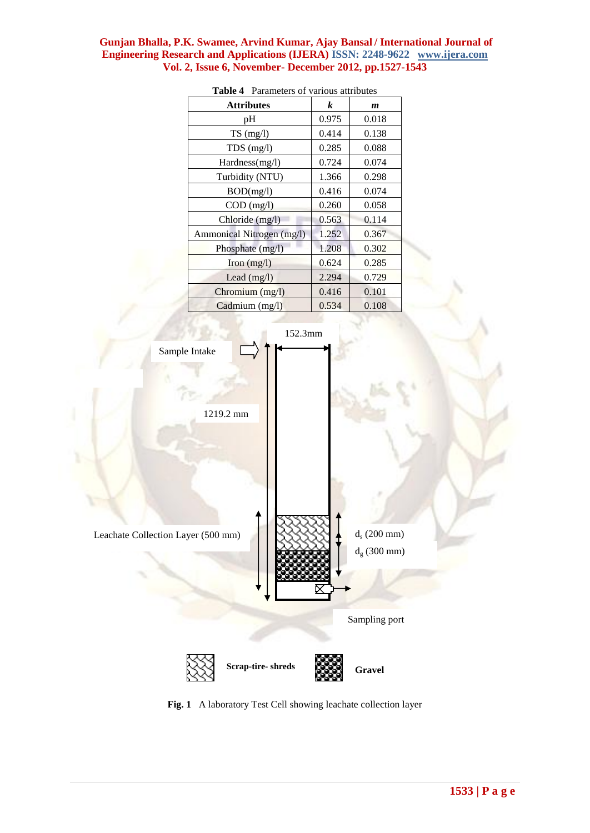| <b>Attributes</b>            | k     | m     |
|------------------------------|-------|-------|
| рH                           | 0.975 | 0.018 |
| $TS \text{ (mg/l)}$          | 0.414 | 0.138 |
| $TDS$ (mg/l)                 | 0.285 | 0.088 |
| Hardness(mg/l)               | 0.724 | 0.074 |
| Turbidity (NTU)              | 1.366 | 0.298 |
| BOD(mg/l)                    | 0.416 | 0.074 |
| $COD$ (mg/l)                 | 0.260 | 0.058 |
| Chloride (mg/l)              | 0.563 | 0.114 |
| Ammonical Nitrogen (mg/l)    | 1.252 | 0.367 |
| Phosphate $(mg/l)$           | 1.208 | 0.302 |
| $\text{Iron} \text{ (mg/l)}$ | 0.624 | 0.285 |
| Lead $(mg/l)$                | 2.294 | 0.729 |
| Chromium (mg/l)              | 0.416 | 0.101 |
| Cadmium (mg/l)               | 0.534 | 0.108 |





**Fig. 1** A laboratory Test Cell showing leachate collection layer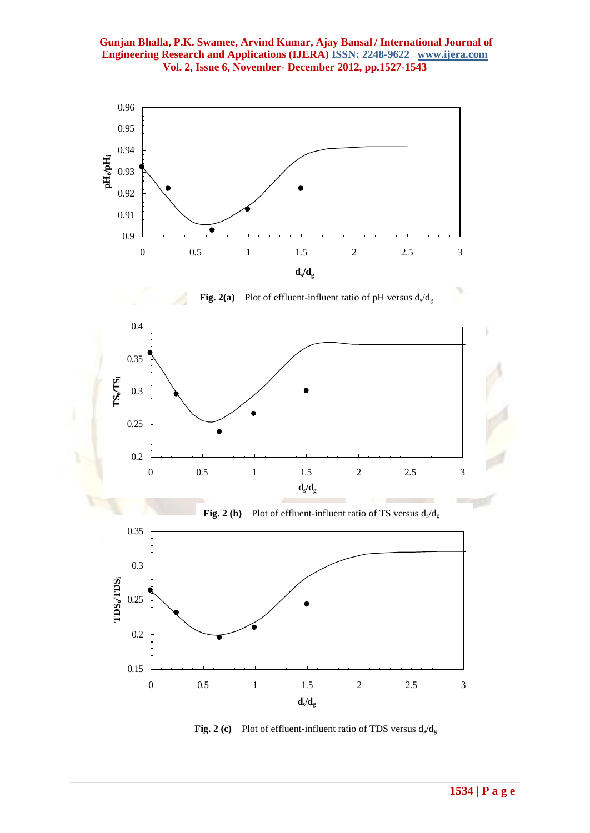



**Fig. 2 (c)** Plot of effluent-influent ratio of TDS versus  $d_s/d_g$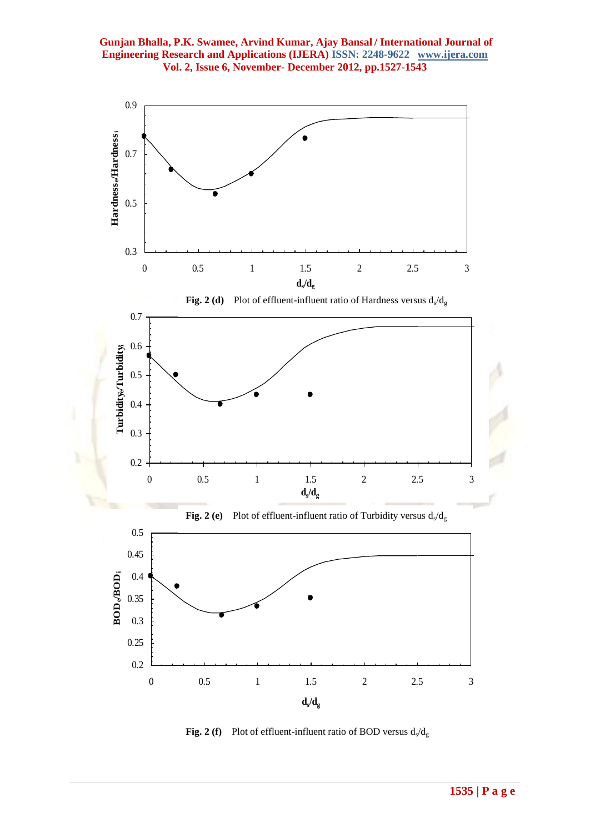

**Fig. 2 (f)** Plot of effluent-influent ratio of BOD versus  $d_s/d_g$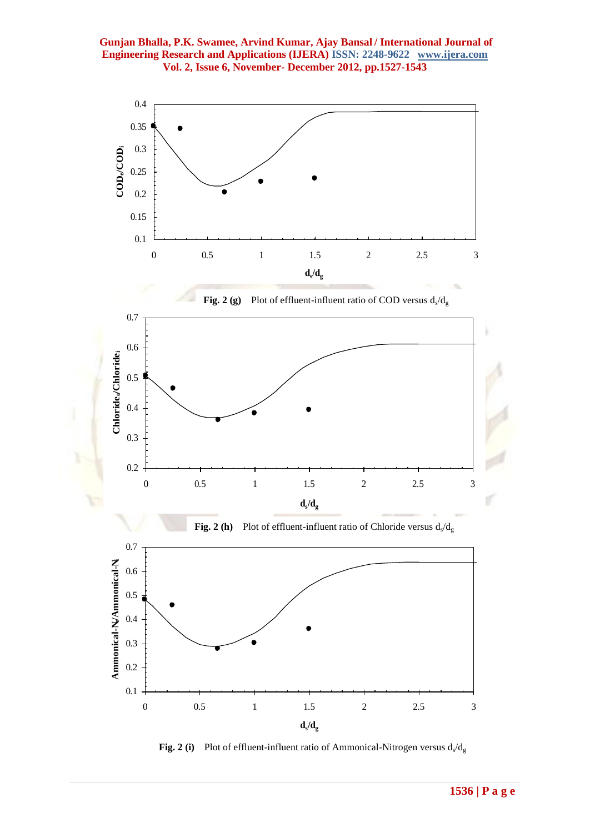

**Fig. 2 (i)** Plot of effluent-influent ratio of Ammonical-Nitrogen versus  $d_s/d_g$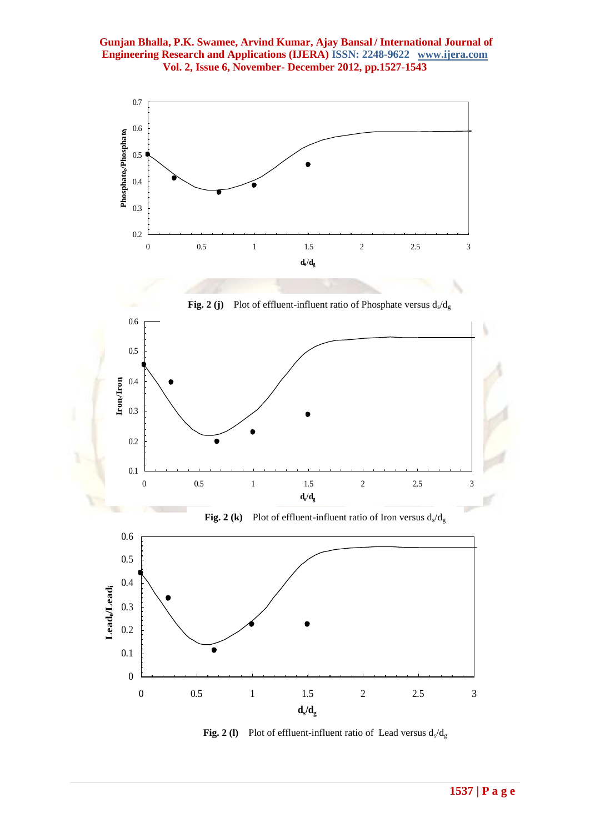

**Fig. 2 (j)** Plot of effluent-influent ratio of Phosphate versus  $d_s/d_g$ 



**Fig. 2 (k)** Plot of effluent-influent ratio of Iron versus  $d_s/d_g$ 



**Fig. 2 (1)** Plot of effluent-influent ratio of Lead versus  $d_s/d_g$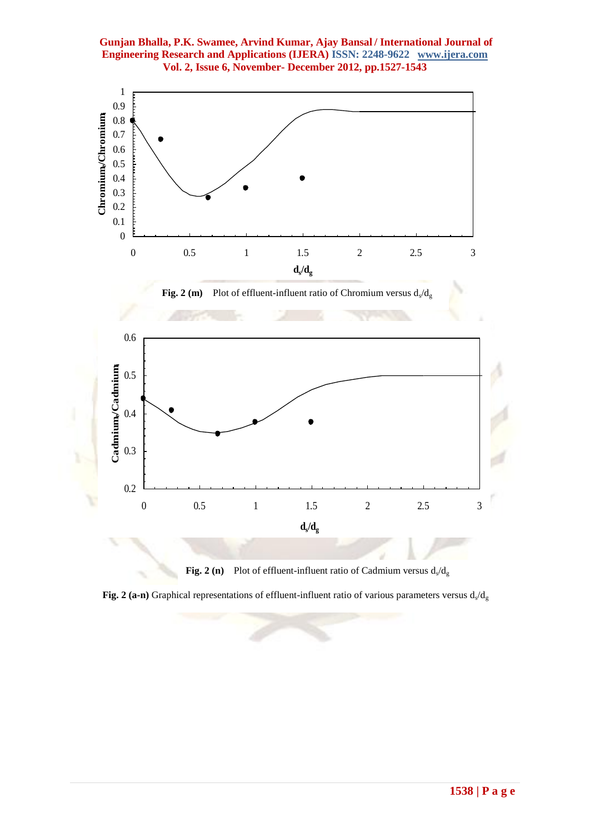

**Fig. 2 (n)** Plot of effluent-influent ratio of Cadmium versus  $d_s/d_g$ 

**Fig. 2 (a-n)** Graphical representations of effluent-influent ratio of various parameters versus  $d_s/d_g$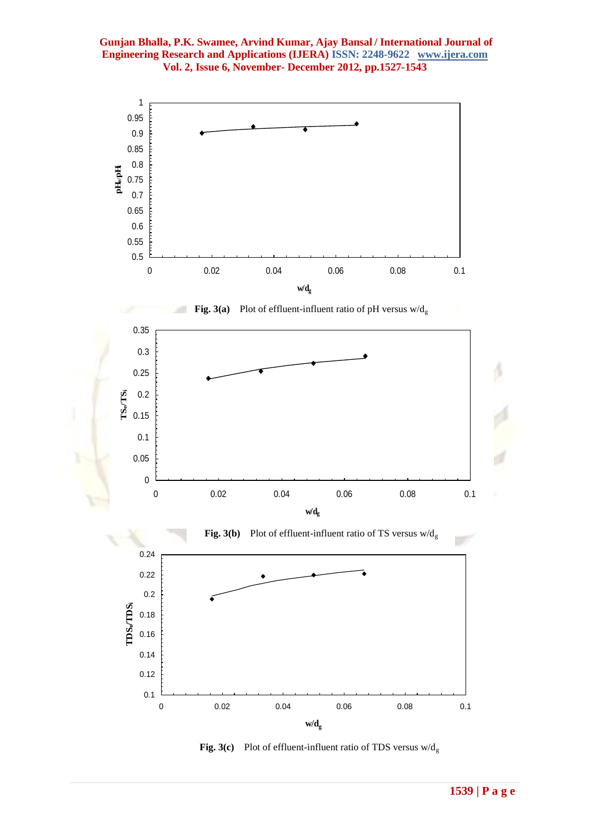

**Fig. 3(c)** Plot of effluent-influent ratio of TDS versus  $w/d_g$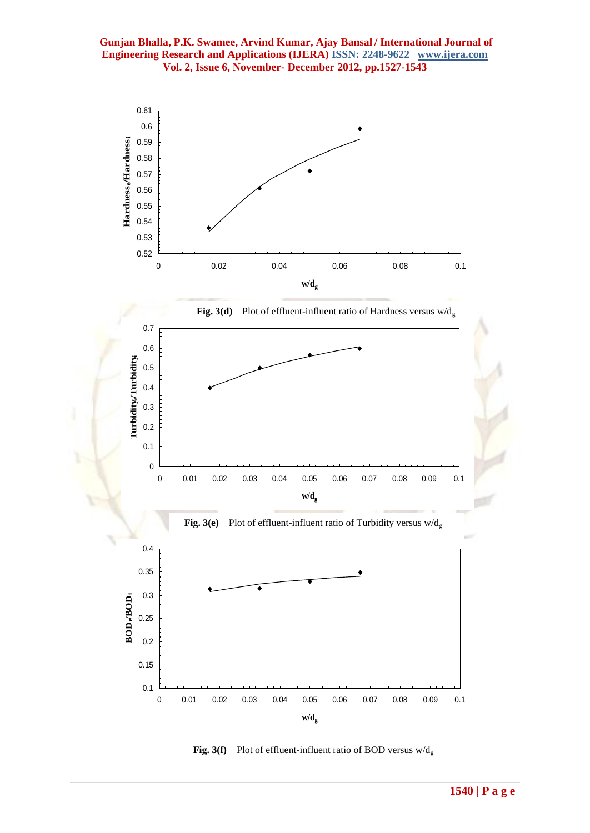

**Fig. 3(f)** Plot of effluent-influent ratio of BOD versus  $w/d_g$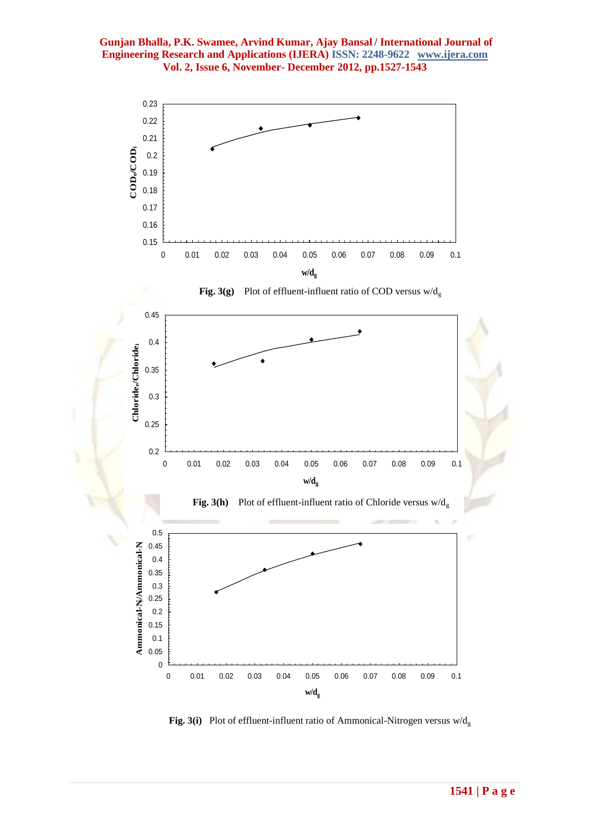

**Fig. 3(i)** Plot of effluent-influent ratio of Ammonical-Nitrogen versus  $w/d_g$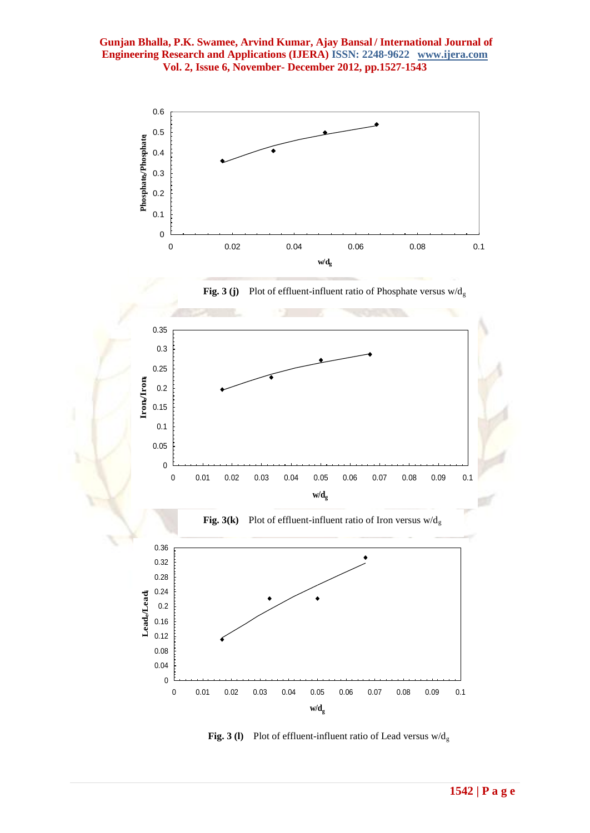

**Fig. 3 (j)** Plot of effluent-influent ratio of Phosphate versus  $w/d_g$ 



**Fig. 3 (l)** Plot of effluent-influent ratio of Lead versus  $w/d_g$